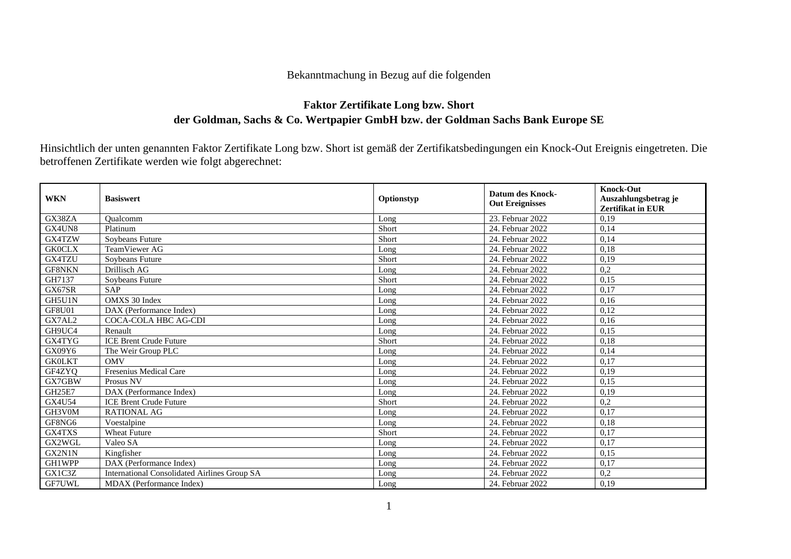## Bekanntmachung in Bezug auf die folgenden

## **Faktor Zertifikate Long bzw. Short der Goldman, Sachs & Co. Wertpapier GmbH bzw. der Goldman Sachs Bank Europe SE**

Hinsichtlich der unten genannten Faktor Zertifikate Long bzw. Short ist gemäß der Zertifikatsbedingungen ein Knock-Out Ereignis eingetreten. Die betroffenen Zertifikate werden wie folgt abgerechnet:

| <b>WKN</b>    | <b>Basiswert</b>                             | Optionstyp | <b>Datum des Knock-</b><br><b>Out Ereignisses</b> | <b>Knock-Out</b><br>Auszahlungsbetrag je<br>Zertifikat in EUR |
|---------------|----------------------------------------------|------------|---------------------------------------------------|---------------------------------------------------------------|
| GX38ZA        | Oualcomm                                     | Long       | 23. Februar 2022                                  | 0.19                                                          |
| GX4UN8        | Platinum                                     | Short      | 24. Februar 2022                                  | 0,14                                                          |
| GX4TZW        | Soybeans Future                              | Short      | 24. Februar 2022                                  | 0,14                                                          |
| <b>GK0CLX</b> | TeamViewer AG                                | Long       | 24. Februar 2022                                  | 0.18                                                          |
| GX4TZU        | Soybeans Future                              | Short      | 24. Februar 2022                                  | 0,19                                                          |
| <b>GF8NKN</b> | Drillisch AG                                 | Long       | 24. Februar 2022                                  | 0,2                                                           |
| GH7137        | Soybeans Future                              | Short      | 24. Februar 2022                                  | 0,15                                                          |
| GX67SR        | <b>SAP</b>                                   | Long       | 24. Februar 2022                                  | 0,17                                                          |
| GH5U1N        | <b>OMXS 30 Index</b>                         | Long       | 24. Februar 2022                                  | 0,16                                                          |
| <b>GF8U01</b> | DAX (Performance Index)                      | Long       | 24. Februar 2022                                  | 0,12                                                          |
| GX7AL2        | COCA-COLA HBC AG-CDI                         | Long       | 24. Februar 2022                                  | 0,16                                                          |
| GH9UC4        | Renault                                      | Long       | 24. Februar 2022                                  | 0,15                                                          |
| GX4TYG        | <b>ICE Brent Crude Future</b>                | Short      | 24. Februar 2022                                  | 0,18                                                          |
| GX09Y6        | The Weir Group PLC                           | Long       | 24. Februar 2022                                  | 0,14                                                          |
| <b>GK0LKT</b> | <b>OMV</b>                                   | Long       | 24. Februar 2022                                  | 0,17                                                          |
| GF4ZYQ        | Fresenius Medical Care                       | Long       | 24. Februar 2022                                  | 0,19                                                          |
| GX7GBW        | Prosus NV                                    | Long       | 24. Februar 2022                                  | 0,15                                                          |
| <b>GH25E7</b> | DAX (Performance Index)                      | Long       | 24. Februar 2022                                  | 0,19                                                          |
| <b>GX4U54</b> | <b>ICE Brent Crude Future</b>                | Short      | 24. Februar 2022                                  | 0,2                                                           |
| GH3V0M        | <b>RATIONAL AG</b>                           | Long       | 24. Februar 2022                                  | 0,17                                                          |
| GF8NG6        | Voestalpine                                  | Long       | 24. Februar 2022                                  | 0,18                                                          |
| GX4TXS        | <b>Wheat Future</b>                          | Short      | 24. Februar 2022                                  | 0,17                                                          |
| GX2WGL        | Valeo SA                                     | Long       | 24. Februar 2022                                  | 0,17                                                          |
| GX2N1N        | Kingfisher                                   | Long       | 24. Februar 2022                                  | 0,15                                                          |
| GH1WPP        | DAX (Performance Index)                      | Long       | 24. Februar 2022                                  | 0,17                                                          |
| GX1C3Z        | International Consolidated Airlines Group SA | Long       | 24. Februar 2022                                  | 0,2                                                           |
| GF7UWL        | MDAX (Performance Index)                     | Long       | 24. Februar 2022                                  | 0,19                                                          |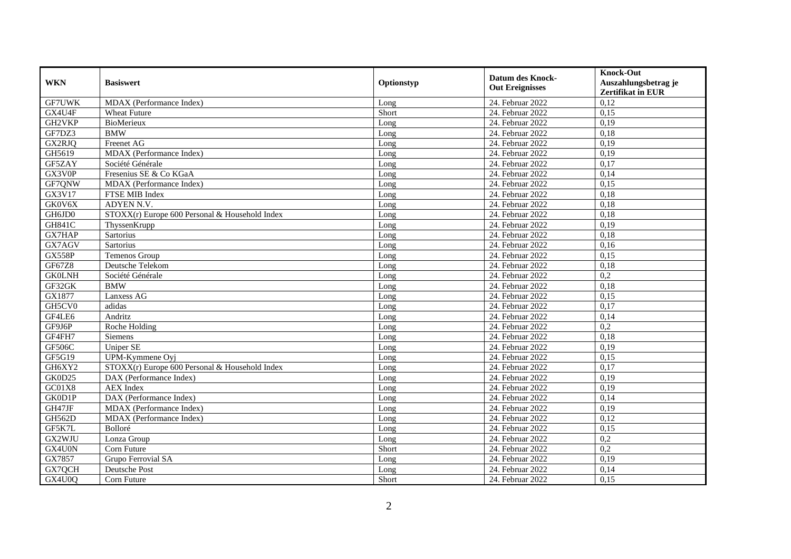| <b>WKN</b>    | <b>Basiswert</b>                               | Optionstyp | <b>Datum des Knock-</b><br><b>Out Ereignisses</b> | <b>Knock-Out</b><br>Auszahlungsbetrag je<br><b>Zertifikat in EUR</b> |
|---------------|------------------------------------------------|------------|---------------------------------------------------|----------------------------------------------------------------------|
| <b>GF7UWK</b> | MDAX (Performance Index)                       | Long       | 24. Februar 2022                                  | 0,12                                                                 |
| GX4U4F        | <b>Wheat Future</b>                            | Short      | 24. Februar 2022                                  | 0,15                                                                 |
| GH2VKP        | BioMerieux                                     | Long       | 24. Februar 2022                                  | 0,19                                                                 |
| GF7DZ3        | <b>BMW</b>                                     | Long       | 24. Februar 2022                                  | 0.18                                                                 |
| GX2RJQ        | Freenet AG                                     | Long       | 24. Februar 2022                                  | 0,19                                                                 |
| GH5619        | MDAX (Performance Index)                       | Long       | 24. Februar 2022                                  | 0,19                                                                 |
| GF5ZAY        | Société Générale                               | Long       | 24. Februar 2022                                  | 0,17                                                                 |
| GX3V0P        | Fresenius SE & Co KGaA                         | Long       | 24. Februar 2022                                  | 0,14                                                                 |
| GF7QNW        | MDAX (Performance Index)                       | Long       | 24. Februar 2022                                  | 0,15                                                                 |
| GX3V17        | FTSE MIB Index                                 | Long       | 24. Februar 2022                                  | 0,18                                                                 |
| GK0V6X        | ADYEN N.V.                                     | Long       | 24. Februar 2022                                  | 0,18                                                                 |
| GH6JD0        | STOXX(r) Europe 600 Personal & Household Index | Long       | 24. Februar 2022                                  | 0,18                                                                 |
| <b>GH841C</b> | ThyssenKrupp                                   | Long       | 24. Februar 2022                                  | 0,19                                                                 |
| GX7HAP        | Sartorius                                      | Long       | 24. Februar 2022                                  | 0,18                                                                 |
| GX7AGV        | <b>Sartorius</b>                               | Long       | 24. Februar 2022                                  | 0,16                                                                 |
| <b>GX558P</b> | Temenos Group                                  | Long       | 24. Februar 2022                                  | 0,15                                                                 |
| <b>GF67Z8</b> | Deutsche Telekom                               | Long       | 24. Februar 2022                                  | 0,18                                                                 |
| <b>GK0LNH</b> | Société Générale                               | Long       | 24. Februar 2022                                  | 0,2                                                                  |
| GF32GK        | <b>BMW</b>                                     | Long       | 24. Februar 2022                                  | 0,18                                                                 |
| GX1877        | Lanxess AG                                     | Long       | 24. Februar 2022                                  | 0,15                                                                 |
| GH5CV0        | adidas                                         | Long       | 24. Februar 2022                                  | 0,17                                                                 |
| GF4LE6        | Andritz                                        | Long       | 24. Februar 2022                                  | 0,14                                                                 |
| GF9J6P        | Roche Holding                                  | Long       | 24. Februar 2022                                  | 0,2                                                                  |
| GF4FH7        | Siemens                                        | Long       | 24. Februar 2022                                  | 0,18                                                                 |
| GF506C        | Uniper SE                                      | Long       | 24. Februar 2022                                  | 0,19                                                                 |
| GF5G19        | UPM-Kymmene Oyj                                | Long       | 24. Februar 2022                                  | 0,15                                                                 |
| GH6XY2        | STOXX(r) Europe 600 Personal & Household Index | Long       | 24. Februar 2022                                  | 0,17                                                                 |
| GK0D25        | DAX (Performance Index)                        | Long       | 24. Februar 2022                                  | 0,19                                                                 |
| GC01X8        | <b>AEX</b> Index                               | Long       | 24. Februar 2022                                  | 0,19                                                                 |
| GK0D1P        | DAX (Performance Index)                        | Long       | 24. Februar 2022                                  | 0,14                                                                 |
| GH47JF        | MDAX (Performance Index)                       | Long       | 24. Februar 2022                                  | 0,19                                                                 |
| <b>GH562D</b> | MDAX (Performance Index)                       | Long       | 24. Februar 2022                                  | 0,12                                                                 |
| GF5K7L        | Bolloré                                        | Long       | 24. Februar 2022                                  | 0,15                                                                 |
| GX2WJU        | Lonza Group                                    | Long       | 24. Februar 2022                                  | 0,2                                                                  |
| GX4U0N        | Corn Future                                    | Short      | 24. Februar 2022                                  | 0,2                                                                  |
| GX7857        | Grupo Ferrovial SA                             | Long       | 24. Februar 2022                                  | 0,19                                                                 |
| GX7QCH        | Deutsche Post                                  | Long       | 24. Februar 2022                                  | 0,14                                                                 |
| GX4U0Q        | Corn Future                                    | Short      | 24. Februar 2022                                  | 0,15                                                                 |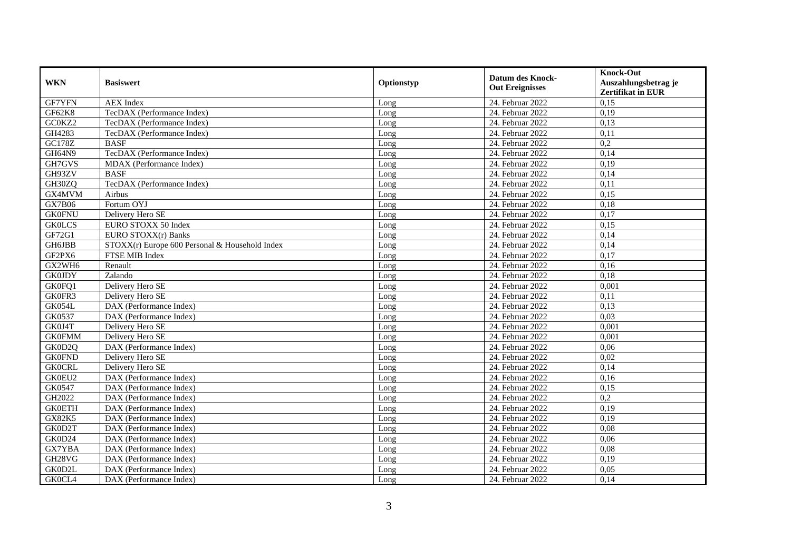| <b>WKN</b>                      | <b>Basiswert</b>                               | Optionstyp | <b>Datum des Knock-</b><br><b>Out Ereignisses</b> | <b>Knock-Out</b><br>Auszahlungsbetrag je<br><b>Zertifikat in EUR</b> |
|---------------------------------|------------------------------------------------|------------|---------------------------------------------------|----------------------------------------------------------------------|
| <b>GF7YFN</b>                   | <b>AEX</b> Index                               | Long       | 24. Februar 2022                                  | 0,15                                                                 |
| GF62K8                          | TecDAX (Performance Index)                     | Long       | 24. Februar 2022                                  | 0,19                                                                 |
| GC0KZ2                          | TecDAX (Performance Index)                     | Long       | 24. Februar 2022                                  | 0,13                                                                 |
| GH4283                          | TecDAX (Performance Index)                     | Long       | 24. Februar 2022                                  | 0,11                                                                 |
| GC178Z                          | <b>BASF</b>                                    | Long       | 24. Februar 2022                                  | 0,2                                                                  |
| GH64N9                          | TecDAX (Performance Index)                     | Long       | 24. Februar 2022                                  | 0,14                                                                 |
| GH7GVS                          | MDAX (Performance Index)                       | Long       | 24. Februar 2022                                  | 0,19                                                                 |
| GH93ZV                          | <b>BASF</b>                                    | Long       | 24. Februar 2022                                  | 0,14                                                                 |
| GH30ZQ                          | TecDAX (Performance Index)                     | Long       | 24. Februar 2022                                  | 0,11                                                                 |
| GX4MVM                          | Airbus                                         | Long       | 24. Februar 2022                                  | 0,15                                                                 |
| <b>GX7B06</b>                   | Fortum OYJ                                     | Long       | 24. Februar 2022                                  | 0,18                                                                 |
| <b>GK0FNU</b>                   | Delivery Hero SE                               | Long       | 24. Februar 2022                                  | 0,17                                                                 |
| <b>GK0LCS</b>                   | EURO STOXX 50 Index                            | Long       | 24. Februar 2022                                  | 0,15                                                                 |
| GF72G1                          | EURO STOXX(r) Banks                            | Long       | 24. Februar 2022                                  | 0,14                                                                 |
| <b>GH6JBB</b>                   | STOXX(r) Europe 600 Personal & Household Index | Long       | 24. Februar 2022                                  | 0,14                                                                 |
| GF2PX6                          | FTSE MIB Index                                 | Long       | 24. Februar 2022                                  | 0,17                                                                 |
| GX2WH6                          | Renault                                        | Long       | 24. Februar 2022                                  | 0,16                                                                 |
| <b>GK0JDY</b>                   | Zalando                                        | Long       | 24. Februar 2022                                  | 0,18                                                                 |
| GK0FQ1                          | Delivery Hero SE                               | Long       | 24. Februar 2022                                  | 0,001                                                                |
| GK0FR3                          | Delivery Hero SE                               | Long       | 24. Februar 2022                                  | 0,11                                                                 |
| GK054L                          | DAX (Performance Index)                        | Long       | 24. Februar 2022                                  | 0,13                                                                 |
| GK0537                          | DAX (Performance Index)                        | Long       | 24. Februar 2022                                  | 0.03                                                                 |
| GK0J4T                          | Delivery Hero SE                               | Long       | 24. Februar 2022                                  | 0,001                                                                |
| <b>GK0FMM</b>                   | Delivery Hero SE                               | Long       | 24. Februar 2022                                  | 0,001                                                                |
| GK0D2Q                          | DAX (Performance Index)                        | Long       | 24. Februar 2022                                  | 0.06                                                                 |
| <b>GK0FND</b>                   | Delivery Hero SE                               | Long       | 24. Februar 2022                                  | 0,02                                                                 |
| <b>GK0CRL</b>                   | Delivery Hero SE                               | Long       | 24. Februar 2022                                  | 0,14                                                                 |
| GK0EU2                          | DAX (Performance Index)                        | Long       | 24. Februar 2022                                  | 0,16                                                                 |
| GK0547                          | DAX (Performance Index)                        | Long       | 24. Februar 2022                                  | 0,15                                                                 |
| GH2022                          | DAX (Performance Index)                        | Long       | 24. Februar 2022                                  | 0,2                                                                  |
| <b>GK0ETH</b>                   | DAX (Performance Index)                        | Long       | 24. Februar 2022                                  | 0,19                                                                 |
| <b>GX82K5</b>                   | DAX (Performance Index)                        | Long       | 24. Februar 2022                                  | 0,19                                                                 |
| GK0D2T                          | DAX (Performance Index)                        | Long       | 24. Februar 2022                                  | 0.08                                                                 |
| GK0D24                          | DAX (Performance Index)                        | Long       | 24. Februar 2022                                  | 0,06                                                                 |
| GX7YBA                          | DAX (Performance Index)                        | Long       | 24. Februar 2022                                  | 0,08                                                                 |
| GH <sub>28</sub> V <sub>G</sub> | DAX (Performance Index)                        | Long       | 24. Februar 2022                                  | 0,19                                                                 |
| GK0D2L                          | DAX (Performance Index)                        | Long       | 24. Februar 2022                                  | 0,05                                                                 |
| GK0CL4                          | DAX (Performance Index)                        | Long       | 24. Februar 2022                                  | 0,14                                                                 |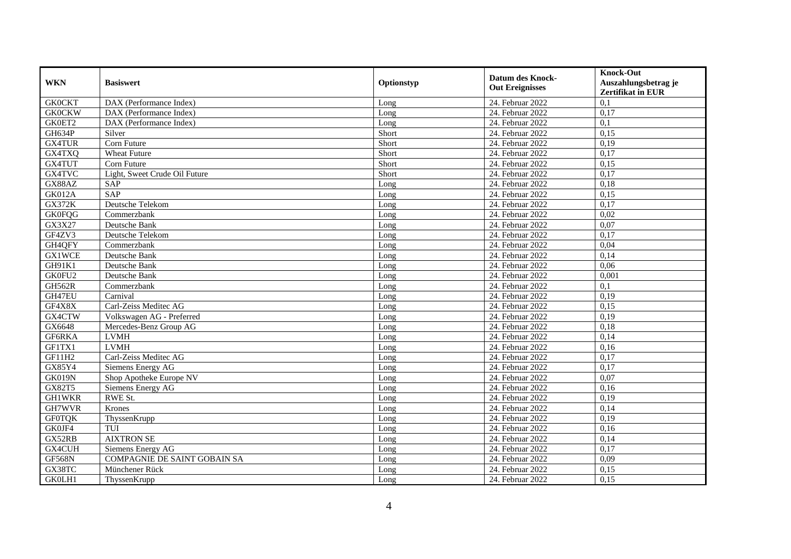| <b>WKN</b>    | <b>Basiswert</b>                    | Optionstyp | <b>Datum des Knock-</b><br><b>Out Ereignisses</b> | <b>Knock-Out</b><br>Auszahlungsbetrag je<br><b>Zertifikat in EUR</b> |
|---------------|-------------------------------------|------------|---------------------------------------------------|----------------------------------------------------------------------|
| <b>GK0CKT</b> | DAX (Performance Index)             | Long       | 24. Februar 2022                                  | 0,1                                                                  |
| <b>GK0CKW</b> | DAX (Performance Index)             | Long       | 24. Februar 2022                                  | 0,17                                                                 |
| GK0ET2        | DAX (Performance Index)             | Long       | 24. Februar 2022                                  | 0,1                                                                  |
| GH634P        | Silver                              | Short      | 24. Februar 2022                                  | 0.15                                                                 |
| <b>GX4TUR</b> | Corn Future                         | Short      | 24. Februar 2022                                  | 0,19                                                                 |
| GX4TXQ        | <b>Wheat Future</b>                 | Short      | 24. Februar 2022                                  | 0,17                                                                 |
| <b>GX4TUT</b> | Corn Future                         | Short      | 24. Februar 2022                                  | 0,15                                                                 |
| <b>GX4TVC</b> | Light, Sweet Crude Oil Future       | Short      | 24. Februar 2022                                  | 0,17                                                                 |
| GX88AZ        | SAP                                 | Long       | 24. Februar 2022                                  | 0,18                                                                 |
| <b>GK012A</b> | SAP                                 | Long       | 24. Februar 2022                                  | 0,15                                                                 |
| <b>GX372K</b> | Deutsche Telekom                    | Long       | 24. Februar 2022                                  | 0.17                                                                 |
| <b>GK0FQG</b> | Commerzbank                         | Long       | 24. Februar 2022                                  | 0,02                                                                 |
| GX3X27        | Deutsche Bank                       | Long       | 24. Februar 2022                                  | 0,07                                                                 |
| GF4ZV3        | Deutsche Telekom                    | Long       | 24. Februar 2022                                  | 0,17                                                                 |
| GH4QFY        | Commerzbank                         | Long       | 24. Februar 2022                                  | 0,04                                                                 |
| <b>GX1WCE</b> | Deutsche Bank                       | Long       | 24. Februar 2022                                  | 0,14                                                                 |
| GH91K1        | Deutsche Bank                       | Long       | 24. Februar 2022                                  | 0,06                                                                 |
| GK0FU2        | Deutsche Bank                       | Long       | 24. Februar 2022                                  | 0.001                                                                |
| <b>GH562R</b> | Commerzbank                         | Long       | 24. Februar 2022                                  | 0,1                                                                  |
| GH47EU        | Carnival                            | Long       | 24. Februar 2022                                  | 0,19                                                                 |
| GF4X8X        | Carl-Zeiss Meditec AG               | Long       | 24. Februar 2022                                  | 0,15                                                                 |
| GX4CTW        | Volkswagen AG - Preferred           | Long       | 24. Februar 2022                                  | 0,19                                                                 |
| GX6648        | Mercedes-Benz Group AG              | Long       | 24. Februar 2022                                  | 0,18                                                                 |
| GF6RKA        | <b>LVMH</b>                         | Long       | 24. Februar 2022                                  | 0,14                                                                 |
| GF1TX1        | <b>LVMH</b>                         | Long       | 24. Februar 2022                                  | 0.16                                                                 |
| GF11H2        | Carl-Zeiss Meditec AG               | Long       | 24. Februar 2022                                  | 0,17                                                                 |
| GX85Y4        | Siemens Energy AG                   | Long       | 24. Februar 2022                                  | 0,17                                                                 |
| GK019N        | Shop Apotheke Europe NV             | Long       | 24. Februar 2022                                  | 0.07                                                                 |
| <b>GX82T5</b> | Siemens Energy AG                   | Long       | 24. Februar 2022                                  | 0,16                                                                 |
| <b>GH1WKR</b> | RWE St.                             | Long       | 24. Februar 2022                                  | 0,19                                                                 |
| GH7WVR        | Krones                              | Long       | 24. Februar 2022                                  | 0,14                                                                 |
| <b>GF0TQK</b> | ThyssenKrupp                        | Long       | 24. Februar 2022                                  | 0,19                                                                 |
| GK0JF4        | TUI                                 | Long       | 24. Februar 2022                                  | 0,16                                                                 |
| GX52RB        | <b>AIXTRON SE</b>                   | Long       | 24. Februar 2022                                  | 0,14                                                                 |
| <b>GX4CUH</b> | Siemens Energy AG                   | Long       | 24. Februar 2022                                  | 0,17                                                                 |
| <b>GF568N</b> | <b>COMPAGNIE DE SAINT GOBAIN SA</b> | Long       | 24. Februar 2022                                  | 0,09                                                                 |
| GX38TC        | Münchener Rück                      | Long       | 24. Februar 2022                                  | 0,15                                                                 |
| GK0LH1        | ThyssenKrupp                        | Long       | 24. Februar 2022                                  | 0,15                                                                 |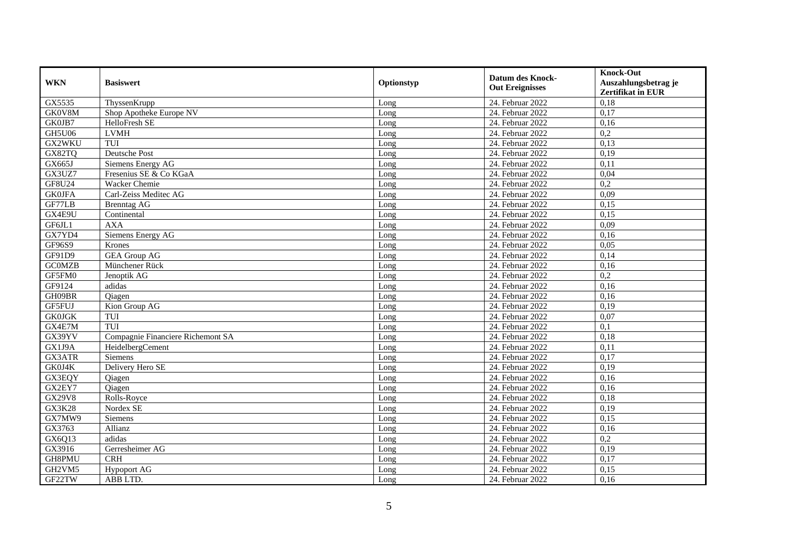| <b>WKN</b>    | <b>Basiswert</b>                  | Optionstyp | <b>Datum des Knock-</b><br><b>Out Ereignisses</b> | <b>Knock-Out</b><br>Auszahlungsbetrag je<br><b>Zertifikat in EUR</b> |
|---------------|-----------------------------------|------------|---------------------------------------------------|----------------------------------------------------------------------|
| GX5535        | ThyssenKrupp                      | Long       | 24. Februar 2022                                  | 0.18                                                                 |
| GK0V8M        | Shop Apotheke Europe NV           | Long       | 24. Februar 2022                                  | 0,17                                                                 |
| GK0JB7        | HelloFresh SE                     | Long       | 24. Februar 2022                                  | 0,16                                                                 |
| GH5U06        | <b>LVMH</b>                       | Long       | 24. Februar 2022                                  | 0,2                                                                  |
| GX2WKU        | TUI                               | Long       | 24. Februar 2022                                  | 0,13                                                                 |
| GX82TQ        | Deutsche Post                     | Long       | 24. Februar 2022                                  | 0,19                                                                 |
| GX665J        | Siemens Energy AG                 | Long       | 24. Februar 2022                                  | 0,11                                                                 |
| GX3UZ7        | Fresenius SE & Co KGaA            | Long       | 24. Februar 2022                                  | 0,04                                                                 |
| GF8U24        | Wacker Chemie                     | Long       | 24. Februar 2022                                  | 0,2                                                                  |
| <b>GK0JFA</b> | Carl-Zeiss Meditec AG             | Long       | 24. Februar 2022                                  | 0,09                                                                 |
| GF77LB        | <b>Brenntag AG</b>                | Long       | 24. Februar 2022                                  | 0,15                                                                 |
| GX4E9U        | Continental                       | Long       | 24. Februar 2022                                  | 0,15                                                                 |
| GF6JL1        | <b>AXA</b>                        | Long       | 24. Februar 2022                                  | 0,09                                                                 |
| GX7YD4        | Siemens Energy AG                 | Long       | 24. Februar 2022                                  | 0,16                                                                 |
| GF96S9        | Krones                            | Long       | 24. Februar 2022                                  | 0.05                                                                 |
| GF91D9        | <b>GEA</b> Group AG               | Long       | 24. Februar 2022                                  | 0,14                                                                 |
| <b>GC0MZB</b> | Münchener Rück                    | Long       | 24. Februar 2022                                  | 0,16                                                                 |
| GF5FM0        | Jenoptik AG                       | Long       | 24. Februar 2022                                  | 0,2                                                                  |
| GF9124        | adidas                            | Long       | 24. Februar 2022                                  | 0,16                                                                 |
| GH09BR        | Qiagen                            | Long       | 24. Februar 2022                                  | 0,16                                                                 |
| GF5FUJ        | Kion Group AG                     | Long       | 24. Februar 2022                                  | 0,19                                                                 |
| <b>GK0JGK</b> | TUI                               | Long       | 24. Februar 2022                                  | 0.07                                                                 |
| GX4E7M        | TUI                               | Long       | 24. Februar 2022                                  | $\overline{0,1}$                                                     |
| GX39YV        | Compagnie Financiere Richemont SA | Long       | 24. Februar 2022                                  | 0,18                                                                 |
| GX1J9A        | HeidelbergCement                  | Long       | 24. Februar 2022                                  | 0,11                                                                 |
| <b>GX3ATR</b> | Siemens                           | Long       | 24. Februar 2022                                  | 0,17                                                                 |
| GK0J4K        | Delivery Hero SE                  | Long       | 24. Februar 2022                                  | 0,19                                                                 |
| GX3EQY        | Qiagen                            | Long       | 24. Februar 2022                                  | 0,16                                                                 |
| GX2EY7        | <b>Qiagen</b>                     | Long       | 24. Februar 2022                                  | 0,16                                                                 |
| <b>GX29V8</b> | Rolls-Royce                       | Long       | 24. Februar 2022                                  | 0,18                                                                 |
| <b>GX3K28</b> | Nordex SE                         | Long       | 24. Februar 2022                                  | 0,19                                                                 |
| GX7MW9        | <b>Siemens</b>                    | Long       | 24. Februar 2022                                  | 0,15                                                                 |
| GX3763        | Allianz                           | Long       | 24. Februar 2022                                  | 0,16                                                                 |
| GX6Q13        | adidas                            | Long       | 24. Februar 2022                                  | 0,2                                                                  |
| GX3916        | Gerresheimer AG                   | Long       | 24. Februar 2022                                  | 0,19                                                                 |
| GH8PMU        | <b>CRH</b>                        | Long       | 24. Februar 2022                                  | 0,17                                                                 |
| GH2VM5        | <b>Hypoport AG</b>                | Long       | 24. Februar 2022                                  | 0,15                                                                 |
| GF22TW        | ABB LTD.                          | Long       | 24. Februar 2022                                  | 0,16                                                                 |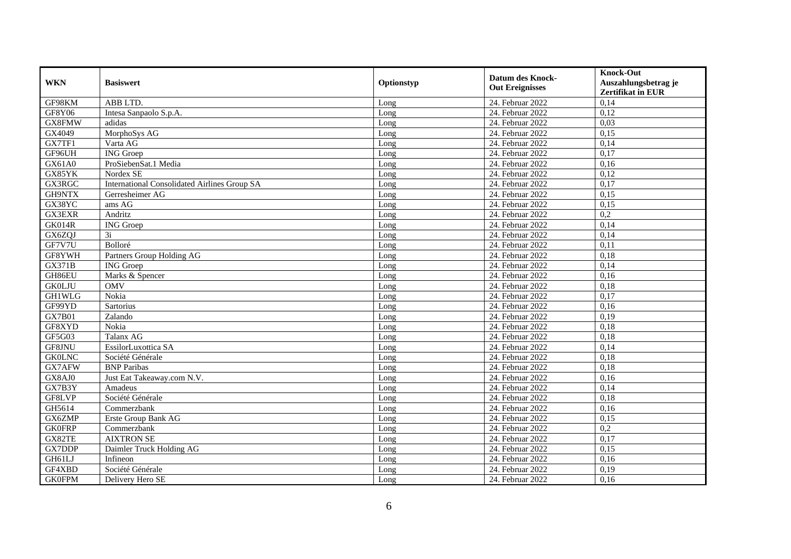|               |                                                     |            |                         | <b>Knock-Out</b>         |
|---------------|-----------------------------------------------------|------------|-------------------------|--------------------------|
| <b>WKN</b>    | <b>Basiswert</b>                                    | Optionstyp | <b>Datum des Knock-</b> | Auszahlungsbetrag je     |
|               |                                                     |            | <b>Out Ereignisses</b>  | <b>Zertifikat in EUR</b> |
| GF98KM        | ABB LTD.                                            | Long       | 24. Februar 2022        | 0,14                     |
| GF8Y06        | Intesa Sanpaolo S.p.A.                              | Long       | 24. Februar 2022        | 0,12                     |
| GX8FMW        | adidas                                              | Long       | 24. Februar 2022        | 0,03                     |
| GX4049        | MorphoSys AG                                        | Long       | 24. Februar 2022        | 0,15                     |
| GX7TF1        | Varta AG                                            | Long       | 24. Februar 2022        | 0,14                     |
| GF96UH        | <b>ING</b> Groep                                    | Long       | 24. Februar 2022        | 0,17                     |
| GX61A0        | ProSiebenSat.1 Media                                | Long       | 24. Februar 2022        | 0,16                     |
| GX85YK        | Nordex SE                                           | Long       | 24. Februar 2022        | 0,12                     |
| GX3RGC        | <b>International Consolidated Airlines Group SA</b> | Long       | 24. Februar 2022        | 0,17                     |
| <b>GH9NTX</b> | Gerresheimer AG                                     | Long       | 24. Februar 2022        | 0,15                     |
| GX38YC        | ams AG                                              | Long       | 24. Februar 2022        | 0,15                     |
| <b>GX3EXR</b> | Andritz                                             | Long       | 24. Februar 2022        | 0,2                      |
| <b>GK014R</b> | <b>ING</b> Groep                                    | Long       | 24. Februar 2022        | 0,14                     |
| GX6ZQJ        | 3i                                                  | Long       | 24. Februar 2022        | 0,14                     |
| GF7V7U        | Bolloré                                             | Long       | 24. Februar 2022        | 0,11                     |
| GF8YWH        | Partners Group Holding AG                           | Long       | 24. Februar 2022        | 0,18                     |
| <b>GX371B</b> | <b>ING</b> Groep                                    | Long       | 24. Februar 2022        | 0,14                     |
| GH86EU        | Marks & Spencer                                     | Long       | 24. Februar 2022        | 0,16                     |
| <b>GK0LJU</b> | <b>OMV</b>                                          | Long       | 24. Februar 2022        | 0,18                     |
| <b>GH1WLG</b> | Nokia                                               | Long       | 24. Februar 2022        | 0,17                     |
| GF99YD        | Sartorius                                           | Long       | 24. Februar 2022        | 0,16                     |
| <b>GX7B01</b> | Zalando                                             | Long       | 24. Februar 2022        | 0,19                     |
| GF8XYD        | Nokia                                               | Long       | 24. Februar 2022        | 0.18                     |
| GF5G03        | Talanx AG                                           | Long       | 24. Februar 2022        | 0,18                     |
| GF8JNU        | EssilorLuxottica SA                                 | Long       | 24. Februar 2022        | 0,14                     |
| <b>GK0LNC</b> | Société Générale                                    | Long       | 24. Februar 2022        | 0,18                     |
| GX7AFW        | <b>BNP</b> Paribas                                  | Long       | 24. Februar 2022        | 0,18                     |
| GX8AJ0        | Just Eat Takeaway.com N.V.                          | Long       | 24. Februar 2022        | 0,16                     |
| GX7B3Y        | Amadeus                                             | Long       | 24. Februar 2022        | 0,14                     |
| GF8LVP        | Société Générale                                    | Long       | 24. Februar 2022        | 0,18                     |
| GH5614        | Commerzbank                                         | Long       | 24. Februar 2022        | 0,16                     |
| GX6ZMP        | Erste Group Bank AG                                 | Long       | 24. Februar 2022        | 0,15                     |
| <b>GK0FRP</b> | Commerzbank                                         | Long       | 24. Februar 2022        | 0,2                      |
| GX82TE        | <b>AIXTRON SE</b>                                   | Long       | 24. Februar 2022        | 0,17                     |
| GX7DDP        | Daimler Truck Holding AG                            | Long       | 24. Februar 2022        | 0,15                     |
| GH61LJ        | Infineon                                            | Long       | 24. Februar 2022        | 0,16                     |
| GF4XBD        | Société Générale                                    | Long       | 24. Februar 2022        | 0,19                     |
| <b>GK0FPM</b> | Delivery Hero SE                                    | Long       | 24. Februar 2022        | 0,16                     |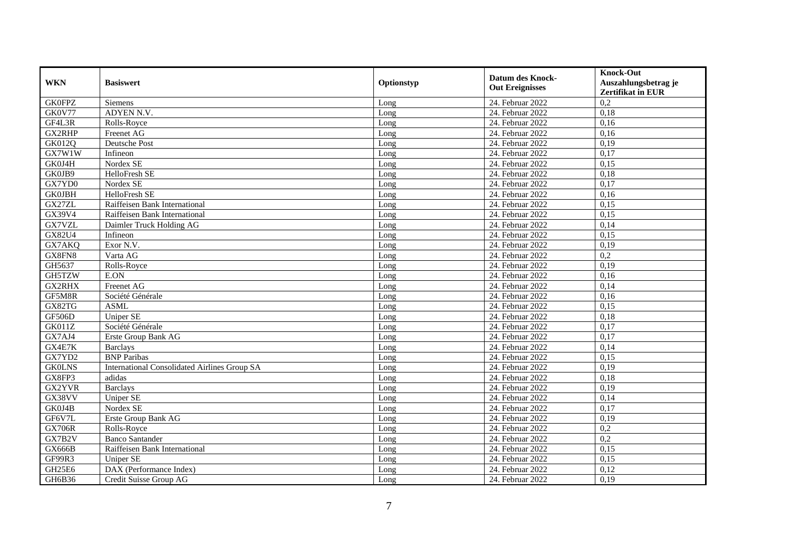|               |                                              |            |                         | <b>Knock-Out</b>         |
|---------------|----------------------------------------------|------------|-------------------------|--------------------------|
| <b>WKN</b>    | <b>Basiswert</b>                             | Optionstyp | <b>Datum des Knock-</b> | Auszahlungsbetrag je     |
|               |                                              |            | <b>Out Ereignisses</b>  | <b>Zertifikat in EUR</b> |
| <b>GK0FPZ</b> | Siemens                                      | Long       | 24. Februar 2022        | $\overline{0.2}$         |
| GK0V77        | ADYEN N.V.                                   | Long       | 24. Februar 2022        | 0,18                     |
| GF4L3R        | Rolls-Royce                                  | Long       | 24. Februar 2022        | 0,16                     |
| GX2RHP        | Freenet AG                                   | Long       | 24. Februar 2022        | 0,16                     |
| GK012Q        | Deutsche Post                                | Long       | 24. Februar 2022        | 0.19                     |
| GX7W1W        | Infineon                                     | Long       | 24. Februar 2022        | 0,17                     |
| GK0J4H        | Nordex SE                                    | Long       | 24. Februar 2022        | 0,15                     |
| GK0JB9        | HelloFresh SE                                | Long       | 24. Februar 2022        | 0,18                     |
| GX7YD0        | Nordex SE                                    | Long       | 24. Februar 2022        | 0,17                     |
| <b>GK0JBH</b> | HelloFresh SE                                | Long       | 24. Februar 2022        | 0,16                     |
| GX27ZL        | Raiffeisen Bank International                | Long       | 24. Februar 2022        | 0.15                     |
| GX39V4        | Raiffeisen Bank International                | Long       | 24. Februar 2022        | 0,15                     |
| GX7VZL        | Daimler Truck Holding AG                     | Long       | 24. Februar 2022        | 0,14                     |
| GX82U4        | Infineon                                     | Long       | 24. Februar 2022        | 0,15                     |
| GX7AKQ        | Exor N.V.                                    | Long       | 24. Februar 2022        | 0,19                     |
| GX8FN8        | Varta AG                                     | Long       | 24. Februar 2022        | 0,2                      |
| GH5637        | Rolls-Royce                                  | Long       | 24. Februar 2022        | 0,19                     |
| GH5TZW        | E.ON                                         | Long       | 24. Februar 2022        | 0,16                     |
| <b>GX2RHX</b> | Freenet AG                                   | Long       | 24. Februar 2022        | 0,14                     |
| GF5M8R        | Société Générale                             | Long       | 24. Februar 2022        | 0,16                     |
| GX82TG        | <b>ASML</b>                                  | Long       | 24. Februar 2022        | 0,15                     |
| GF506D        | <b>Uniper SE</b>                             | Long       | 24. Februar 2022        | 0.18                     |
| <b>GK011Z</b> | Société Générale                             | Long       | 24. Februar 2022        | 0,17                     |
| GX7AJ4        | Erste Group Bank AG                          | Long       | 24. Februar 2022        | 0,17                     |
| GX4E7K        | <b>Barclays</b>                              | Long       | 24. Februar 2022        | 0,14                     |
| GX7YD2        | <b>BNP</b> Paribas                           | Long       | 24. Februar 2022        | 0,15                     |
| <b>GK0LNS</b> | International Consolidated Airlines Group SA | Long       | 24. Februar 2022        | 0,19                     |
| GX8FP3        | adidas                                       | Long       | 24. Februar 2022        | 0,18                     |
| GX2YVR        | <b>Barclays</b>                              | Long       | 24. Februar 2022        | 0,19                     |
| GX38VV        | <b>Uniper SE</b>                             | Long       | 24. Februar 2022        | 0,14                     |
| GK0J4B        | Nordex SE                                    | Long       | 24. Februar 2022        | 0,17                     |
| GF6V7L        | Erste Group Bank AG                          | Long       | 24. Februar 2022        | 0,19                     |
| <b>GX706R</b> | Rolls-Royce                                  | Long       | 24. Februar 2022        | 0,2                      |
| GX7B2V        | <b>Banco Santander</b>                       | Long       | 24. Februar 2022        | 0,2                      |
| <b>GX666B</b> | Raiffeisen Bank International                | Long       | 24. Februar 2022        | 0,15                     |
| GF99R3        | Uniper SE                                    | Long       | 24. Februar 2022        | 0,15                     |
| GH25E6        | DAX (Performance Index)                      | Long       | 24. Februar 2022        | 0,12                     |
| GH6B36        | Credit Suisse Group AG                       | Long       | 24. Februar 2022        | 0,19                     |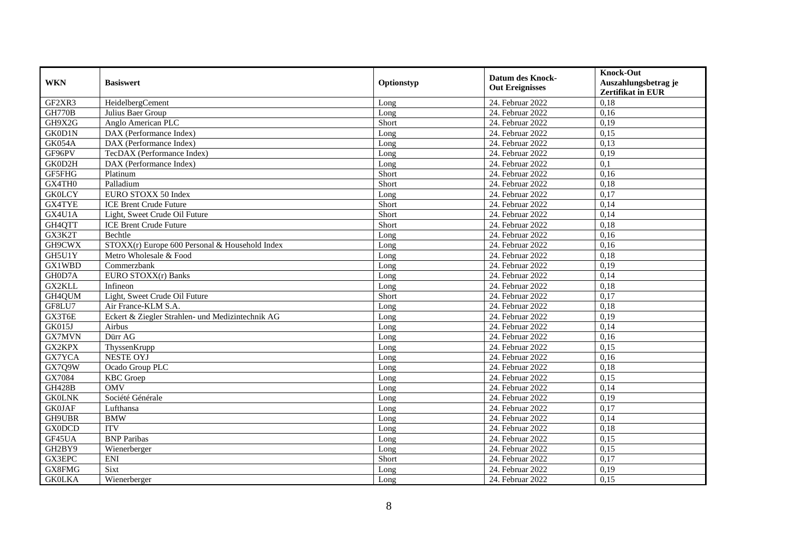| <b>WKN</b>    | <b>Basiswert</b>                                 | Optionstyp | <b>Datum des Knock-</b><br><b>Out Ereignisses</b> | <b>Knock-Out</b><br>Auszahlungsbetrag je<br><b>Zertifikat in EUR</b> |
|---------------|--------------------------------------------------|------------|---------------------------------------------------|----------------------------------------------------------------------|
| GF2XR3        | HeidelbergCement                                 | Long       | 24. Februar 2022                                  | 0.18                                                                 |
| <b>GH770B</b> | Julius Baer Group                                | Long       | 24. Februar 2022                                  | 0,16                                                                 |
| GH9X2G        | Anglo American PLC                               | Short      | 24. Februar 2022                                  | 0,19                                                                 |
| GK0D1N        | DAX (Performance Index)                          | Long       | 24. Februar 2022                                  | 0,15                                                                 |
| GK054A        | DAX (Performance Index)                          | Long       | 24. Februar 2022                                  | 0,13                                                                 |
| GF96PV        | TecDAX (Performance Index)                       | Long       | 24. Februar 2022                                  | 0,19                                                                 |
| GK0D2H        | DAX (Performance Index)                          | Long       | 24. Februar 2022                                  | 0,1                                                                  |
| GF5FHG        | Platinum                                         | Short      | 24. Februar 2022                                  | 0,16                                                                 |
| GX4TH0        | Palladium                                        | Short      | 24. Februar 2022                                  | 0,18                                                                 |
| <b>GK0LCY</b> | EURO STOXX 50 Index                              | Long       | 24. Februar 2022                                  | 0,17                                                                 |
| GX4TYE        | <b>ICE Brent Crude Future</b>                    | Short      | 24. Februar 2022                                  | 0,14                                                                 |
| GX4U1A        | Light, Sweet Crude Oil Future                    | Short      | 24. Februar 2022                                  | 0,14                                                                 |
| GH4QTT        | <b>ICE Brent Crude Future</b>                    | Short      | 24. Februar 2022                                  | 0,18                                                                 |
| GX3K2T        | Bechtle                                          | Long       | 24. Februar 2022                                  | 0,16                                                                 |
| GH9CWX        | STOXX(r) Europe 600 Personal & Household Index   | Long       | 24. Februar 2022                                  | 0,16                                                                 |
| GH5U1Y        | Metro Wholesale & Food                           | Long       | 24. Februar 2022                                  | 0,18                                                                 |
| <b>GX1WBD</b> | Commerzbank                                      | Long       | 24. Februar 2022                                  | 0,19                                                                 |
| GH0D7A        | EURO STOXX(r) Banks                              | Long       | 24. Februar 2022                                  | 0,14                                                                 |
| GX2KLL        | Infineon                                         | Long       | 24. Februar 2022                                  | 0,18                                                                 |
| GH4QUM        | Light, Sweet Crude Oil Future                    | Short      | 24. Februar 2022                                  | 0,17                                                                 |
| GF8LU7        | Air France-KLM S.A.                              | Long       | 24. Februar 2022                                  | 0,18                                                                 |
| GX3T6E        | Eckert & Ziegler Strahlen- und Medizintechnik AG | Long       | 24. Februar 2022                                  | 0,19                                                                 |
| GK015J        | Airbus                                           | Long       | 24. Februar 2022                                  | 0,14                                                                 |
| GX7MVN        | Dürr AG                                          | Long       | 24. Februar 2022                                  | 0,16                                                                 |
| GX2KPX        | ThyssenKrupp                                     | Long       | 24. Februar 2022                                  | 0,15                                                                 |
| GX7YCA        | <b>NESTE OYJ</b>                                 | Long       | 24. Februar 2022                                  | 0,16                                                                 |
| GX7Q9W        | Ocado Group PLC                                  | Long       | 24. Februar 2022                                  | 0,18                                                                 |
| GX7084        | <b>KBC</b> Groep                                 | Long       | 24. Februar 2022                                  | 0,15                                                                 |
| <b>GH428B</b> | <b>OMV</b>                                       | Long       | 24. Februar 2022                                  | 0,14                                                                 |
| <b>GK0LNK</b> | Société Générale                                 | Long       | 24. Februar 2022                                  | 0,19                                                                 |
| <b>GK0JAF</b> | Lufthansa                                        | Long       | 24. Februar 2022                                  | 0,17                                                                 |
| GH9UBR        | <b>BMW</b>                                       | Long       | 24. Februar 2022                                  | 0,14                                                                 |
| <b>GX0DCD</b> | <b>ITV</b>                                       | Long       | 24. Februar 2022                                  | 0,18                                                                 |
| GF45UA        | <b>BNP</b> Paribas                               | Long       | 24. Februar 2022                                  | 0,15                                                                 |
| GH2BY9        | Wienerberger                                     | Long       | 24. Februar 2022                                  | 0,15                                                                 |
| GX3EPC        | <b>ENI</b>                                       | Short      | 24. Februar 2022                                  | 0,17                                                                 |
| GX8FMG        | Sixt                                             | Long       | 24. Februar 2022                                  | 0,19                                                                 |
| <b>GK0LKA</b> | Wienerberger                                     | Long       | 24. Februar 2022                                  | 0,15                                                                 |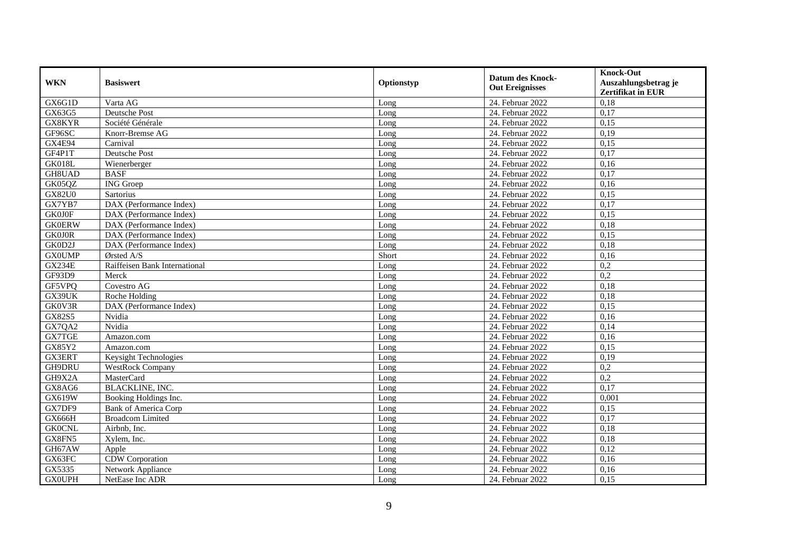| <b>WKN</b>    | <b>Basiswert</b>              | Optionstyp | <b>Datum des Knock-</b><br><b>Out Ereignisses</b> | <b>Knock-Out</b><br>Auszahlungsbetrag je<br><b>Zertifikat in EUR</b> |
|---------------|-------------------------------|------------|---------------------------------------------------|----------------------------------------------------------------------|
| GX6G1D        | Varta AG                      | Long       | $24.$ Februar 2022                                | 0,18                                                                 |
| GX63G5        | Deutsche Post                 | Long       | 24. Februar 2022                                  | 0,17                                                                 |
| GX8KYR        | Société Générale              | Long       | 24. Februar 2022                                  | 0,15                                                                 |
| GF96SC        | Knorr-Bremse AG               | Long       | 24. Februar 2022                                  | 0.19                                                                 |
| <b>GX4E94</b> | Carnival                      | Long       | 24. Februar 2022                                  | 0,15                                                                 |
| GF4P1T        | Deutsche Post                 | Long       | 24. Februar 2022                                  | 0,17                                                                 |
| GK018L        | Wienerberger                  | Long       | 24. Februar 2022                                  | 0,16                                                                 |
| GH8UAD        | <b>BASF</b>                   | Long       | 24. Februar 2022                                  | 0,17                                                                 |
| GK05QZ        | <b>ING</b> Groep              | Long       | 24. Februar 2022                                  | 0,16                                                                 |
| <b>GX82U0</b> | Sartorius                     | Long       | 24. Februar 2022                                  | 0,15                                                                 |
| GX7YB7        | DAX (Performance Index)       | Long       | $24.$ Februar 2022                                | 0.17                                                                 |
| <b>GK0J0F</b> | DAX (Performance Index)       | Long       | 24. Februar 2022                                  | 0,15                                                                 |
| <b>GK0ERW</b> | DAX (Performance Index)       | Long       | 24. Februar 2022                                  | 0,18                                                                 |
| <b>GK0J0R</b> | DAX (Performance Index)       | Long       | 24. Februar 2022                                  | 0,15                                                                 |
| GK0D2J        | DAX (Performance Index)       | Long       | 24. Februar 2022                                  | 0,18                                                                 |
| <b>GX0UMP</b> | Ørsted A/S                    | Short      | 24. Februar 2022                                  | 0,16                                                                 |
| <b>GX234E</b> | Raiffeisen Bank International | Long       | 24. Februar 2022                                  | 0,2                                                                  |
| GF93D9        | Merck                         | Long       | 24. Februar 2022                                  | 0,2                                                                  |
| GF5VPQ        | Covestro AG                   | Long       | 24. Februar 2022                                  | 0,18                                                                 |
| GX39UK        | Roche Holding                 | Long       | 24. Februar 2022                                  | 0,18                                                                 |
| GK0V3R        | DAX (Performance Index)       | Long       | 24. Februar 2022                                  | 0,15                                                                 |
| <b>GX82S5</b> | Nvidia                        | Long       | 24. Februar 2022                                  | 0,16                                                                 |
| GX7QA2        | Nvidia                        | Long       | 24. Februar 2022                                  | 0,14                                                                 |
| <b>GX7TGE</b> | Amazon.com                    | Long       | 24. Februar 2022                                  | 0,16                                                                 |
| GX85Y2        | Amazon.com                    | Long       | 24. Februar 2022                                  | 0,15                                                                 |
| <b>GX3ERT</b> | Keysight Technologies         | Long       | 24. Februar 2022                                  | 0,19                                                                 |
| GH9DRU        | WestRock Company              | Long       | 24. Februar 2022                                  | $\overline{0,2}$                                                     |
| GH9X2A        | MasterCard                    | Long       | 24. Februar 2022                                  | $\overline{0.2}$                                                     |
| GX8AG6        | <b>BLACKLINE, INC.</b>        | Long       | 24. Februar 2022                                  | 0,17                                                                 |
| <b>GX619W</b> | Booking Holdings Inc.         | Long       | 24. Februar 2022                                  | 0,001                                                                |
| GX7DF9        | <b>Bank of America Corp</b>   | Long       | 24. Februar 2022                                  | 0,15                                                                 |
| GX666H        | <b>Broadcom Limited</b>       | Long       | 24. Februar 2022                                  | 0,17                                                                 |
| <b>GK0CNL</b> | Airbnb, Inc.                  | Long       | 24. Februar 2022                                  | 0,18                                                                 |
| GX8FN5        | Xylem, Inc.                   | Long       | 24. Februar 2022                                  | 0,18                                                                 |
| GH67AW        | Apple                         | Long       | 24. Februar 2022                                  | 0,12                                                                 |
| GX63FC        | CDW Corporation               | Long       | 24. Februar 2022                                  | 0,16                                                                 |
| GX5335        | Network Appliance             | Long       | 24. Februar 2022                                  | 0,16                                                                 |
| <b>GX0UPH</b> | NetEase Inc ADR               | Long       | 24. Februar 2022                                  | 0,15                                                                 |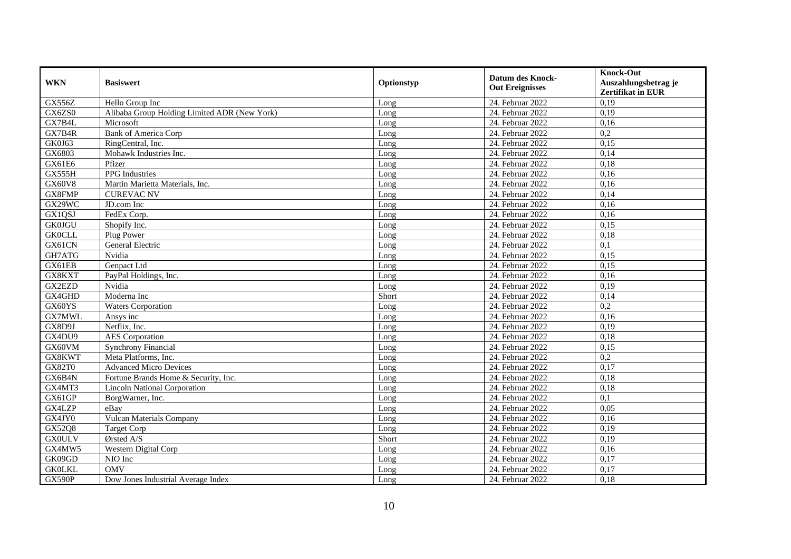| <b>WKN</b>    | <b>Basiswert</b>                             | Optionstyp | <b>Datum des Knock-</b><br><b>Out Ereignisses</b> | <b>Knock-Out</b><br>Auszahlungsbetrag je<br><b>Zertifikat in EUR</b> |
|---------------|----------------------------------------------|------------|---------------------------------------------------|----------------------------------------------------------------------|
| <b>GX556Z</b> | Hello Group Inc                              | Long       | 24. Februar 2022                                  | 0,19                                                                 |
| GX6ZS0        | Alibaba Group Holding Limited ADR (New York) | Long       | 24. Februar 2022                                  | 0,19                                                                 |
| GX7B4L        | Microsoft                                    | Long       | 24. Februar 2022                                  | 0.16                                                                 |
| GX7B4R        | <b>Bank of America Corp</b>                  | Long       | 24. Februar 2022                                  | $\overline{0,2}$                                                     |
| GK0J63        | RingCentral, Inc.                            | Long       | 24. Februar 2022                                  | 0,15                                                                 |
| GX6803        | Mohawk Industries Inc.                       | Long       | 24. Februar 2022                                  | 0,14                                                                 |
| GX61E6        | Pfizer                                       | Long       | 24. Februar 2022                                  | 0,18                                                                 |
| GX555H        | PPG Industries                               | Long       | 24. Februar 2022                                  | 0,16                                                                 |
| <b>GX60V8</b> | Martin Marietta Materials, Inc.              | Long       | 24. Februar 2022                                  | 0,16                                                                 |
| GX8FMP        | <b>CUREVAC NV</b>                            | Long       | 24. Februar 2022                                  | 0,14                                                                 |
| GX29WC        | JD.com Inc                                   | Long       | 24. Februar 2022                                  | 0,16                                                                 |
| GX1QSJ        | FedEx Corp.                                  | Long       | 24. Februar 2022                                  | 0,16                                                                 |
| <b>GK0JGU</b> | Shopify Inc.                                 | Long       | 24. Februar 2022                                  | 0,15                                                                 |
| <b>GK0CLL</b> | Plug Power                                   | Long       | 24. Februar 2022                                  | 0,18                                                                 |
| GX61CN        | General Electric                             | Long       | 24. Februar 2022                                  | 0,1                                                                  |
| GH7ATG        | Nvidia                                       | Long       | 24. Februar 2022                                  | 0,15                                                                 |
| GX61EB        | Genpact Ltd                                  | Long       | 24. Februar 2022                                  | 0,15                                                                 |
| GX8KXT        | PayPal Holdings, Inc.                        | Long       | 24. Februar 2022                                  | 0,16                                                                 |
| GX2EZD        | Nvidia                                       | Long       | 24. Februar 2022                                  | 0,19                                                                 |
| GX4GHD        | Moderna Inc                                  | Short      | 24. Februar 2022                                  | $\overline{0,14}$                                                    |
| GX60YS        | <b>Waters Corporation</b>                    | Long       | 24. Februar 2022                                  | 0,2                                                                  |
| GX7MWL        | Ansys inc                                    | Long       | 24. Februar 2022                                  | 0,16                                                                 |
| GX8D9J        | Netflix, Inc.                                | Long       | 24. Februar 2022                                  | 0,19                                                                 |
| GX4DU9        | <b>AES</b> Corporation                       | Long       | 24. Februar 2022                                  | 0,18                                                                 |
| GX60VM        | <b>Synchrony Financial</b>                   | Long       | 24. Februar 2022                                  | 0,15                                                                 |
| GX8KWT        | Meta Platforms, Inc.                         | Long       | 24. Februar 2022                                  | 0,2                                                                  |
| <b>GX82T0</b> | <b>Advanced Micro Devices</b>                | Long       | 24. Februar 2022                                  | 0,17                                                                 |
| GX6B4N        | Fortune Brands Home & Security, Inc.         | Long       | 24. Februar 2022                                  | 0,18                                                                 |
| GX4MT3        | <b>Lincoln National Corporation</b>          | Long       | 24. Februar 2022                                  | 0,18                                                                 |
| GX61GP        | BorgWarner, Inc.                             | Long       | 24. Februar 2022                                  | 0,1                                                                  |
| GX4LZP        | eBay                                         | Long       | 24. Februar 2022                                  | 0,05                                                                 |
| GX4JY0        | <b>Vulcan Materials Company</b>              | Long       | 24. Februar 2022                                  | 0,16                                                                 |
| GX52Q8        | <b>Target Corp</b>                           | Long       | 24. Februar 2022                                  | 0,19                                                                 |
| <b>GX0ULV</b> | Ørsted A/S                                   | Short      | 24. Februar 2022                                  | 0,19                                                                 |
| GX4MW5        | Western Digital Corp                         | Long       | 24. Februar 2022                                  | 0,16                                                                 |
| GK09GD        | NIO Inc                                      | Long       | 24. Februar 2022                                  | 0,17                                                                 |
| <b>GK0LKL</b> | <b>OMV</b>                                   | Long       | 24. Februar 2022                                  | 0,17                                                                 |
| <b>GX590P</b> | Dow Jones Industrial Average Index           | Long       | 24. Februar 2022                                  | 0,18                                                                 |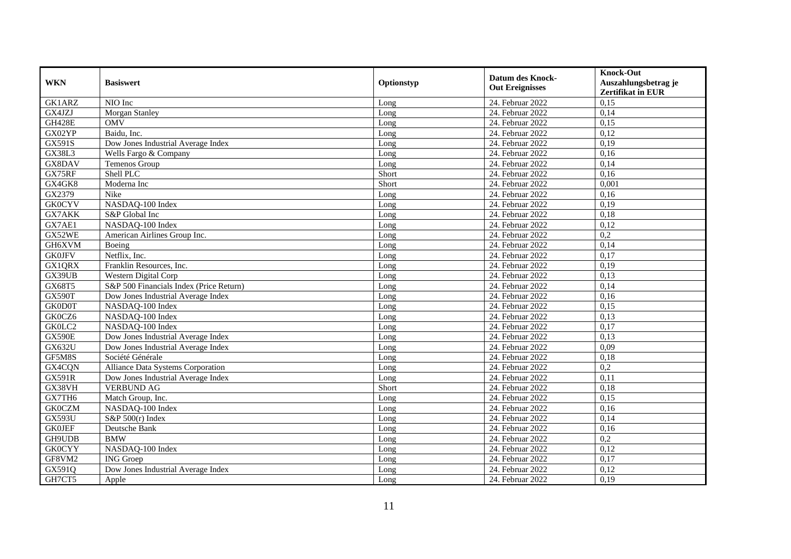|               |                                         |            |                         | <b>Knock-Out</b>         |
|---------------|-----------------------------------------|------------|-------------------------|--------------------------|
| <b>WKN</b>    | <b>Basiswert</b>                        | Optionstyp | <b>Datum des Knock-</b> | Auszahlungsbetrag je     |
|               |                                         |            | <b>Out Ereignisses</b>  | <b>Zertifikat in EUR</b> |
| GK1ARZ        | NIO Inc                                 | Long       | 24. Februar 2022        | 0.15                     |
| GX4JZJ        | Morgan Stanley                          | Long       | 24. Februar 2022        | 0,14                     |
| <b>GH428E</b> | <b>OMV</b>                              | Long       | 24. Februar 2022        | 0,15                     |
| GX02YP        | Baidu, Inc.                             | Long       | 24. Februar 2022        | 0,12                     |
| GX591S        | Dow Jones Industrial Average Index      | Long       | 24. Februar 2022        | 0.19                     |
| <b>GX38L3</b> | Wells Fargo & Company                   | Long       | 24. Februar 2022        | 0,16                     |
| GX8DAV        | Temenos Group                           | Long       | 24. Februar 2022        | 0,14                     |
| GX75RF        | Shell PLC                               | Short      | 24. Februar 2022        | 0,16                     |
| GX4GK8        | Moderna Inc                             | Short      | 24. Februar 2022        | 0,001                    |
| GX2379        | Nike                                    | Long       | 24. Februar 2022        | 0,16                     |
| <b>GK0CYV</b> | NASDAQ-100 Index                        | Long       | 24. Februar 2022        | 0,19                     |
| GX7AKK        | S&P Global Inc                          | Long       | 24. Februar 2022        | 0,18                     |
| GX7AE1        | NASDAQ-100 Index                        | Long       | 24. Februar 2022        | 0,12                     |
| GX52WE        | American Airlines Group Inc.            | Long       | 24. Februar 2022        | 0,2                      |
| GH6XVM        | Boeing                                  | Long       | 24. Februar 2022        | 0,14                     |
| <b>GK0JFV</b> | Netflix, Inc.                           | Long       | 24. Februar 2022        | 0,17                     |
| <b>GX1QRX</b> | Franklin Resources, Inc.                | Long       | 24. Februar 2022        | 0,19                     |
| GX39UB        | Western Digital Corp                    | Long       | 24. Februar 2022        | 0.13                     |
| GX68T5        | S&P 500 Financials Index (Price Return) | Long       | 24. Februar 2022        | 0,14                     |
| <b>GX590T</b> | Dow Jones Industrial Average Index      | Long       | 24. Februar 2022        | 0,16                     |
| <b>GK0D0T</b> | NASDAQ-100 Index                        | Long       | 24. Februar 2022        | 0,15                     |
| GK0CZ6        | NASDAQ-100 Index                        | Long       | 24. Februar 2022        | 0.13                     |
| GK0LC2        | NASDAQ-100 Index                        | Long       | 24. Februar 2022        | 0,17                     |
| <b>GX590E</b> | Dow Jones Industrial Average Index      | Long       | 24. Februar 2022        | 0,13                     |
| <b>GX632U</b> | Dow Jones Industrial Average Index      | Long       | 24. Februar 2022        | 0,09                     |
| GF5M8S        | Société Générale                        | Long       | 24. Februar 2022        | 0,18                     |
| GX4CQN        | Alliance Data Systems Corporation       | Long       | 24. Februar 2022        | $\overline{0,2}$         |
| <b>GX591R</b> | Dow Jones Industrial Average Index      | Long       | 24. Februar 2022        | 0,11                     |
| GX38VH        | <b>VERBUND AG</b>                       | Short      | 24. Februar 2022        | 0,18                     |
| GX7TH6        | Match Group, Inc.                       | Long       | 24. Februar 2022        | 0,15                     |
| <b>GK0CZM</b> | NASDAQ-100 Index                        | Long       | 24. Februar 2022        | 0,16                     |
| <b>GX593U</b> | S&P 500(r) Index                        | Long       | 24. Februar 2022        | 0,14                     |
| <b>GK0JEF</b> | Deutsche Bank                           | Long       | 24. Februar 2022        | 0,16                     |
| GH9UDB        | <b>BMW</b>                              | Long       | 24. Februar 2022        | 0,2                      |
| <b>GK0CYY</b> | NASDAQ-100 Index                        | Long       | 24. Februar 2022        | 0,12                     |
| GF8VM2        | <b>ING</b> Groep                        | Long       | 24. Februar 2022        | 0,17                     |
| GX591Q        | Dow Jones Industrial Average Index      | Long       | 24. Februar 2022        | 0,12                     |
| GH7CT5        | Apple                                   | Long       | 24. Februar 2022        | 0,19                     |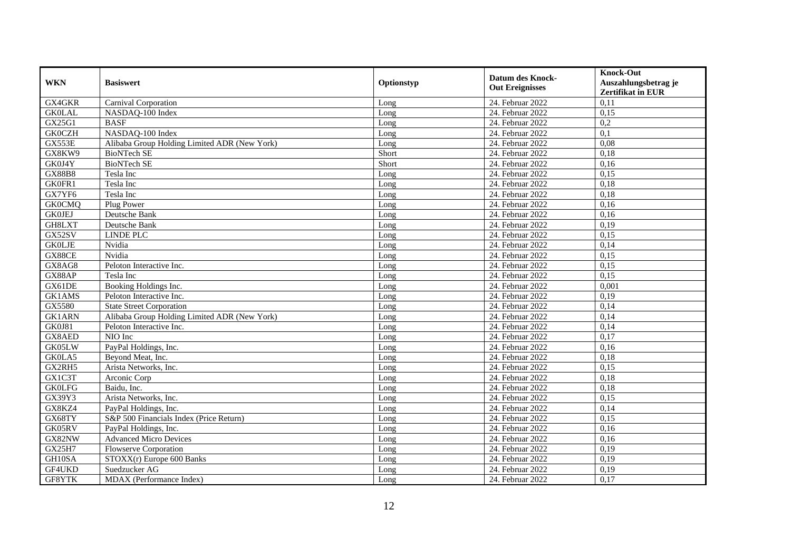|               |                                              |            |                         | <b>Knock-Out</b>         |
|---------------|----------------------------------------------|------------|-------------------------|--------------------------|
| <b>WKN</b>    | <b>Basiswert</b>                             | Optionstyp | <b>Datum des Knock-</b> | Auszahlungsbetrag je     |
|               |                                              |            | <b>Out Ereignisses</b>  | <b>Zertifikat in EUR</b> |
| GX4GKR        | Carnival Corporation                         | Long       | 24. Februar 2022        | 0,11                     |
| <b>GK0LAL</b> | NASDAQ-100 Index                             | Long       | 24. Februar 2022        | 0,15                     |
| GX25G1        | <b>BASF</b>                                  | Long       | 24. Februar 2022        | 0,2                      |
| <b>GK0CZH</b> | NASDAQ-100 Index                             | Long       | 24. Februar 2022        | 0,1                      |
| <b>GX553E</b> | Alibaba Group Holding Limited ADR (New York) | Long       | 24. Februar 2022        | 0.08                     |
| GX8KW9        | <b>BioNTech SE</b>                           | Short      | 24. Februar 2022        | 0,18                     |
| GK0J4Y        | <b>BioNTech SE</b>                           | Short      | 24. Februar 2022        | 0,16                     |
| <b>GX88B8</b> | Tesla Inc                                    | Long       | 24. Februar 2022        | 0,15                     |
| GK0FR1        | Tesla Inc                                    | Long       | 24. Februar 2022        | 0,18                     |
| GX7YF6        | Tesla Inc                                    | Long       | 24. Februar 2022        | 0,18                     |
| <b>GK0CMQ</b> | Plug Power                                   | Long       | 24. Februar 2022        | 0,16                     |
| <b>GK0JEJ</b> | Deutsche Bank                                | Long       | 24. Februar 2022        | 0,16                     |
| GH8LXT        | Deutsche Bank                                | Long       | 24. Februar 2022        | 0,19                     |
| GX52SV        | <b>LINDE PLC</b>                             | Long       | 24. Februar 2022        | 0,15                     |
| <b>GK0LJE</b> | Nvidia                                       | Long       | 24. Februar 2022        | 0,14                     |
| GX88CE        | Nvidia                                       | Long       | 24. Februar 2022        | 0,15                     |
| GX8AG8        | Peloton Interactive Inc.                     | Long       | 24. Februar 2022        | 0,15                     |
| GX88AP        | Tesla Inc                                    | Long       | 24. Februar 2022        | 0.15                     |
| GX61DE        | Booking Holdings Inc.                        | Long       | 24. Februar 2022        | 0,001                    |
| GK1AMS        | Peloton Interactive Inc.                     | Long       | 24. Februar 2022        | 0,19                     |
| GX5580        | <b>State Street Corporation</b>              | Long       | 24. Februar 2022        | 0,14                     |
| <b>GK1ARN</b> | Alibaba Group Holding Limited ADR (New York) | Long       | 24. Februar 2022        | 0,14                     |
| GK0J81        | Peloton Interactive Inc.                     | Long       | 24. Februar 2022        | 0,14                     |
| GX8AED        | NIO Inc                                      | Long       | 24. Februar 2022        | 0,17                     |
| GK05LW        | PayPal Holdings, Inc.                        | Long       | 24. Februar 2022        | 0,16                     |
| GK0LA5        | Beyond Meat, Inc.                            | Long       | 24. Februar 2022        | 0,18                     |
| GX2RH5        | Arista Networks, Inc.                        | Long       | 24. Februar 2022        | 0,15                     |
| GX1C3T        | Arconic Corp                                 | Long       | 24. Februar 2022        | 0,18                     |
| <b>GK0LFG</b> | Baidu, Inc.                                  | Long       | 24. Februar 2022        | 0,18                     |
| GX39Y3        | Arista Networks, Inc.                        | Long       | 24. Februar 2022        | 0,15                     |
| GX8KZ4        | PayPal Holdings, Inc.                        | Long       | 24. Februar 2022        | 0,14                     |
| GX68TY        | S&P 500 Financials Index (Price Return)      | Long       | 24. Februar 2022        | 0,15                     |
| GK05RV        | PayPal Holdings, Inc.                        | Long       | 24. Februar 2022        | 0,16                     |
| GX82NW        | <b>Advanced Micro Devices</b>                | Long       | 24. Februar 2022        | 0,16                     |
| <b>GX25H7</b> | <b>Flowserve Corporation</b>                 | Long       | 24. Februar 2022        | 0,19                     |
| GH10SA        | STOXX(r) Europe 600 Banks                    | Long       | 24. Februar 2022        | 0,19                     |
| GF4UKD        | Suedzucker AG                                | Long       | 24. Februar 2022        | 0,19                     |
| GF8YTK        | MDAX (Performance Index)                     | Long       | 24. Februar 2022        | 0,17                     |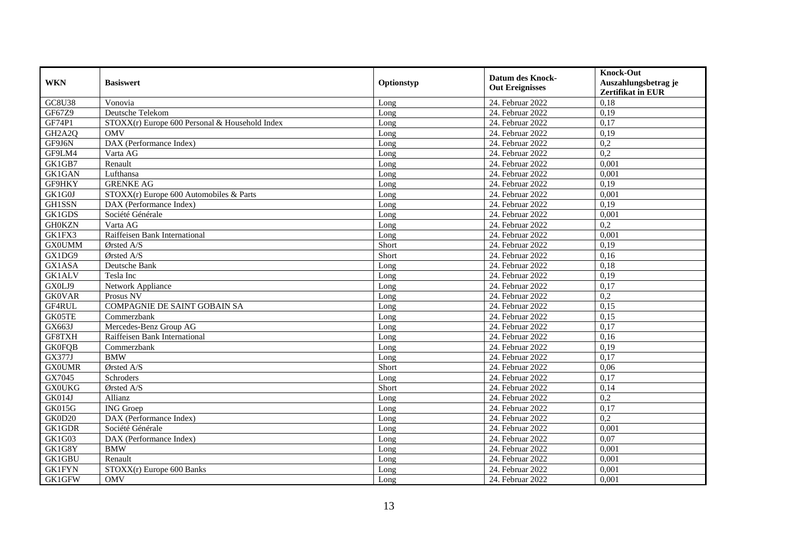| <b>WKN</b>                       | <b>Basiswert</b>                               | Optionstyp | <b>Datum des Knock-</b><br><b>Out Ereignisses</b> | <b>Knock-Out</b><br>Auszahlungsbetrag je<br>Zertifikat in EUR |
|----------------------------------|------------------------------------------------|------------|---------------------------------------------------|---------------------------------------------------------------|
| <b>GC8U38</b>                    | Vonovia                                        | Long       | 24. Februar 2022                                  | 0.18                                                          |
| GF67Z9                           | Deutsche Telekom                               | Long       | 24. Februar 2022                                  | 0,19                                                          |
| GF74P1                           | STOXX(r) Europe 600 Personal & Household Index | Long       | 24. Februar 2022                                  | 0,17                                                          |
| GH <sub>2</sub> A <sub>2</sub> Q | <b>OMV</b>                                     | Long       | 24. Februar 2022                                  | 0,19                                                          |
| GF9J6N                           | DAX (Performance Index)                        | Long       | 24. Februar 2022                                  | 0,2                                                           |
| GF9LM4                           | Varta AG                                       | Long       | 24. Februar 2022                                  | 0,2                                                           |
| GK1GB7                           | Renault                                        | Long       | 24. Februar 2022                                  | 0,001                                                         |
| GK1GAN                           | Lufthansa                                      | Long       | 24. Februar 2022                                  | 0,001                                                         |
| GF9HKY                           | <b>GRENKE AG</b>                               | Long       | 24. Februar 2022                                  | 0,19                                                          |
| GK1G0J                           | $STOXX(r)$ Europe 600 Automobiles & Parts      | Long       | 24. Februar 2022                                  | 0,001                                                         |
| <b>GH1SSN</b>                    | DAX (Performance Index)                        | Long       | 24. Februar 2022                                  | 0,19                                                          |
| GK1GDS                           | Société Générale                               | Long       | 24. Februar 2022                                  | 0,001                                                         |
| <b>GH0KZN</b>                    | Varta AG                                       | Long       | 24. Februar 2022                                  | 0,2                                                           |
| GK1FX3                           | Raiffeisen Bank International                  | Long       | 24. Februar 2022                                  | 0,001                                                         |
| <b>GX0UMM</b>                    | Ørsted A/S                                     | Short      | 24. Februar 2022                                  | 0,19                                                          |
| GX1DG9                           | Ørsted A/S                                     | Short      | 24. Februar 2022                                  | 0,16                                                          |
| <b>GX1ASA</b>                    | Deutsche Bank                                  | Long       | 24. Februar 2022                                  | 0,18                                                          |
| <b>GK1ALV</b>                    | Tesla Inc                                      | Long       | 24. Februar 2022                                  | 0,19                                                          |
| GX0LJ9                           | Network Appliance                              | Long       | 24. Februar 2022                                  | 0,17                                                          |
| <b>GK0VAR</b>                    | Prosus NV                                      | Long       | 24. Februar 2022                                  | 0,2                                                           |
| GF4RUL                           | COMPAGNIE DE SAINT GOBAIN SA                   | Long       | 24. Februar 2022                                  | 0.15                                                          |
| GK05TE                           | Commerzbank                                    | Long       | 24. Februar 2022                                  | 0.15                                                          |
| GX663J                           | Mercedes-Benz Group AG                         | Long       | 24. Februar 2022                                  | 0,17                                                          |
| GF8TXH                           | Raiffeisen Bank International                  | Long       | 24. Februar 2022                                  | 0,16                                                          |
| <b>GK0FQB</b>                    | Commerzbank                                    | Long       | 24. Februar 2022                                  | 0,19                                                          |
| GX377J                           | <b>BMW</b>                                     | Long       | 24. Februar 2022                                  | 0,17                                                          |
| <b>GX0UMR</b>                    | $Q$ rsted A/S                                  | Short      | 24. Februar 2022                                  | 0,06                                                          |
| GX7045                           | Schroders                                      | Long       | 24. Februar 2022                                  | 0,17                                                          |
| <b>GX0UKG</b>                    | Ørsted A/S                                     | Short      | 24. Februar 2022                                  | 0,14                                                          |
| GK014J                           | Allianz                                        | Long       | 24. Februar 2022                                  | 0,2                                                           |
| <b>GK015G</b>                    | <b>ING</b> Groep                               | Long       | 24. Februar 2022                                  | 0,17                                                          |
| GK0D20                           | DAX (Performance Index)                        | Long       | 24. Februar 2022                                  | 0,2                                                           |
| <b>GK1GDR</b>                    | Société Générale                               | Long       | 24. Februar 2022                                  | 0.001                                                         |
| GK1G03                           | DAX (Performance Index)                        | Long       | 24. Februar 2022                                  | 0.07                                                          |
| GK1G8Y                           | <b>BMW</b>                                     | Long       | 24. Februar 2022                                  | 0,001                                                         |
| <b>GK1GBU</b>                    | Renault                                        | Long       | 24. Februar 2022                                  | 0,001                                                         |
| <b>GK1FYN</b>                    | STOXX(r) Europe 600 Banks                      | Long       | 24. Februar 2022                                  | 0,001                                                         |
| GK1GFW                           | <b>OMV</b>                                     | Long       | 24. Februar 2022                                  | 0,001                                                         |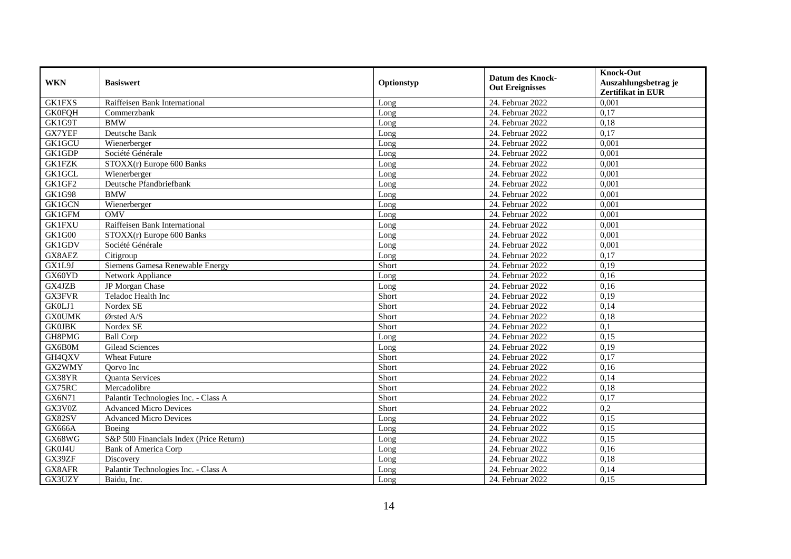| <b>WKN</b>    | <b>Basiswert</b>                        | Optionstyp | <b>Datum des Knock-</b><br><b>Out Ereignisses</b> | <b>Knock-Out</b>         |
|---------------|-----------------------------------------|------------|---------------------------------------------------|--------------------------|
|               |                                         |            |                                                   | Auszahlungsbetrag je     |
|               |                                         |            |                                                   | <b>Zertifikat in EUR</b> |
| <b>GK1FXS</b> | Raiffeisen Bank International           | Long       | 24. Februar 2022                                  | 0,001                    |
| <b>GK0FQH</b> | Commerzbank                             | Long       | 24. Februar 2022                                  | 0,17                     |
| GK1G9T        | <b>BMW</b>                              | Long       | 24. Februar 2022                                  | 0,18                     |
| <b>GX7YEF</b> | Deutsche Bank                           | Long       | 24. Februar 2022                                  | 0,17                     |
| GK1GCU        | Wienerberger                            | Long       | 24. Februar 2022                                  | 0,001                    |
| GK1GDP        | Société Générale                        | Long       | 24. Februar 2022                                  | 0,001                    |
| <b>GK1FZK</b> | STOXX(r) Europe 600 Banks               | Long       | 24. Februar 2022                                  | 0,001                    |
| <b>GK1GCL</b> | Wienerberger                            | Long       | 24. Februar 2022                                  | 0,001                    |
| GK1GF2        | Deutsche Pfandbriefbank                 | Long       | 24. Februar 2022                                  | 0,001                    |
| <b>GK1G98</b> | <b>BMW</b>                              | Long       | 24. Februar 2022                                  | 0,001                    |
| <b>GK1GCN</b> | Wienerberger                            | Long       | 24. Februar 2022                                  | 0.001                    |
| GK1GFM        | <b>OMV</b>                              | Long       | 24. Februar 2022                                  | 0,001                    |
| <b>GK1FXU</b> | Raiffeisen Bank International           | Long       | 24. Februar 2022                                  | 0,001                    |
| <b>GK1G00</b> | STOXX(r) Europe 600 Banks               | Long       | 24. Februar 2022                                  | 0,001                    |
| GK1GDV        | Société Générale                        | Long       | 24. Februar 2022                                  | 0,001                    |
| GX8AEZ        | Citigroup                               | Long       | 24. Februar 2022                                  | 0,17                     |
| GX1L9J        | Siemens Gamesa Renewable Energy         | Short      | 24. Februar 2022                                  | 0,19                     |
| GX60YD        | Network Appliance                       | Long       | 24. Februar 2022                                  | 0,16                     |
| GX4JZB        | JP Morgan Chase                         | Long       | 24. Februar 2022                                  | 0,16                     |
| <b>GX3FVR</b> | Teladoc Health Inc                      | Short      | 24. Februar 2022                                  | 0,19                     |
| GK0LJ1        | Nordex SE                               | Short      | 24. Februar 2022                                  | 0,14                     |
| <b>GX0UMK</b> | Ørsted A/S                              | Short      | 24. Februar 2022                                  | 0,18                     |
| <b>GK0JBK</b> | Nordex SE                               | Short      | 24. Februar 2022                                  | $\overline{0,1}$         |
| GH8PMG        | <b>Ball Corp</b>                        | Long       | 24. Februar 2022                                  | 0,15                     |
| GX6B0M        | <b>Gilead Sciences</b>                  | Long       | 24. Februar 2022                                  | 0,19                     |
| GH4QXV        | <b>Wheat Future</b>                     | Short      | 24. Februar 2022                                  | 0,17                     |
| GX2WMY        | Oorvo Inc                               | Short      | 24. Februar 2022                                  | 0,16                     |
| GX38YR        | Quanta Services                         | Short      | 24. Februar 2022                                  | 0,14                     |
| GX75RC        | Mercadolibre                            | Short      | 24. Februar 2022                                  | 0,18                     |
| GX6N71        | Palantir Technologies Inc. - Class A    | Short      | 24. Februar 2022                                  | 0,17                     |
| GX3V0Z        | <b>Advanced Micro Devices</b>           | Short      | 24. Februar 2022                                  | $\overline{0,2}$         |
| GX82SV        | <b>Advanced Micro Devices</b>           | Long       | 24. Februar 2022                                  | 0,15                     |
| <b>GX666A</b> | Boeing                                  | Long       | 24. Februar 2022                                  | 0.15                     |
| GX68WG        | S&P 500 Financials Index (Price Return) | Long       | 24. Februar 2022                                  | 0,15                     |
| GK0J4U        | <b>Bank of America Corp</b>             | Long       | 24. Februar 2022                                  | 0,16                     |
| GX39ZF        | Discovery                               | Long       | 24. Februar 2022                                  | 0,18                     |
| GX8AFR        | Palantir Technologies Inc. - Class A    | Long       | 24. Februar 2022                                  | 0,14                     |
| GX3UZY        | Baidu, Inc.                             | Long       | 24. Februar 2022                                  | 0,15                     |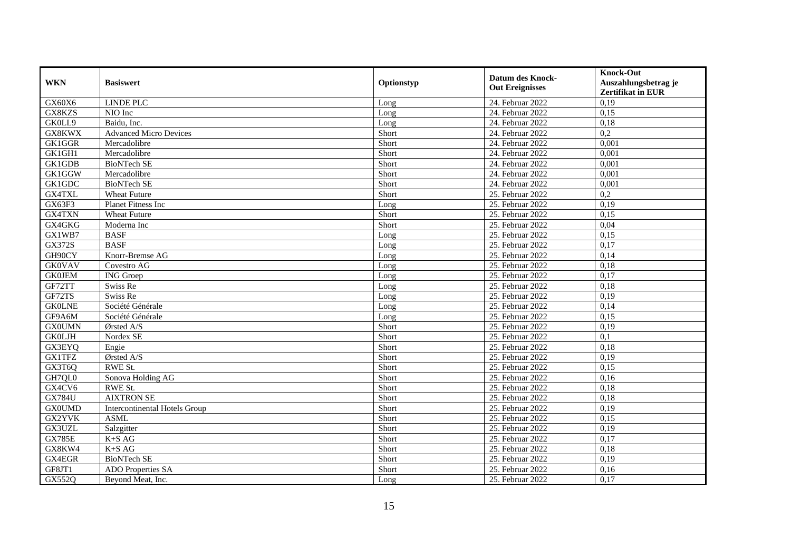| <b>WKN</b>    | <b>Basiswert</b>                     | Optionstyp | <b>Datum des Knock-</b><br><b>Out Ereignisses</b> | <b>Knock-Out</b>                                 |
|---------------|--------------------------------------|------------|---------------------------------------------------|--------------------------------------------------|
|               |                                      |            |                                                   | Auszahlungsbetrag je<br><b>Zertifikat in EUR</b> |
| GX60X6        | <b>LINDE PLC</b>                     | Long       | 24. Februar 2022                                  | 0,19                                             |
| GX8KZS        | NIO Inc                              | Long       | 24. Februar 2022                                  | 0,15                                             |
| GK0LL9        | Baidu, Inc.                          | Long       | 24. Februar 2022                                  | 0,18                                             |
| GX8KWX        | <b>Advanced Micro Devices</b>        | Short      | 24. Februar 2022                                  | 0,2                                              |
| GK1GGR        | Mercadolibre                         | Short      | 24. Februar 2022                                  | 0,001                                            |
| GK1GH1        | Mercadolibre                         | Short      | 24. Februar 2022                                  | 0,001                                            |
| GK1GDB        | <b>BioNTech SE</b>                   | Short      | 24. Februar 2022                                  | 0,001                                            |
| GK1GGW        | Mercadolibre                         | Short      | 24. Februar 2022                                  | 0,001                                            |
| GK1GDC        | <b>BioNTech SE</b>                   | Short      | 24. Februar 2022                                  | 0,001                                            |
| <b>GX4TXL</b> | <b>Wheat Future</b>                  | Short      | 25. Februar 2022                                  | 0,2                                              |
| GX63F3        | Planet Fitness Inc                   | Long       | 25. Februar 2022                                  | 0,19                                             |
| <b>GX4TXN</b> | <b>Wheat Future</b>                  | Short      | 25. Februar 2022                                  | 0,15                                             |
| GX4GKG        | Moderna Inc                          | Short      | 25. Februar 2022                                  | 0,04                                             |
| GX1WB7        | <b>BASF</b>                          | Long       | 25. Februar 2022                                  | 0,15                                             |
| GX372S        | <b>BASF</b>                          | Long       | 25. Februar 2022                                  | 0,17                                             |
| GH90CY        | Knorr-Bremse AG                      | Long       | 25. Februar 2022                                  | 0,14                                             |
| <b>GK0VAV</b> | Covestro AG                          | Long       | 25. Februar 2022                                  | 0,18                                             |
| <b>GK0JEM</b> | <b>ING</b> Groep                     | Long       | 25. Februar 2022                                  | 0,17                                             |
| GF72TT        | Swiss Re                             | Long       | 25. Februar 2022                                  | 0,18                                             |
| GF72TS        | Swiss Re                             | Long       | 25. Februar 2022                                  | 0,19                                             |
| <b>GK0LNE</b> | Société Générale                     | Long       | 25. Februar 2022                                  | 0,14                                             |
| GF9A6M        | Société Générale                     | Long       | 25. Februar 2022                                  | 0,15                                             |
| <b>GX0UMN</b> | Ørsted A/S                           | Short      | 25. Februar 2022                                  | 0,19                                             |
| <b>GK0LJH</b> | Nordex SE                            | Short      | 25. Februar 2022                                  | 0,1                                              |
| GX3EYQ        | Engie                                | Short      | 25. Februar 2022                                  | 0,18                                             |
| <b>GX1TFZ</b> | Ørsted A/S                           | Short      | 25. Februar 2022                                  | 0,19                                             |
| GX3T6Q        | RWE St.                              | Short      | 25. Februar 2022                                  | 0,15                                             |
| GH7QL0        | Sonova Holding AG                    | Short      | 25. Februar 2022                                  | 0,16                                             |
| GX4CV6        | RWE St.                              | Short      | 25. Februar 2022                                  | 0,18                                             |
| <b>GX784U</b> | <b>AIXTRON SE</b>                    | Short      | 25. Februar 2022                                  | 0,18                                             |
| <b>GX0UMD</b> | <b>Intercontinental Hotels Group</b> | Short      | 25. Februar 2022                                  | 0,19                                             |
| GX2YVK        | <b>ASML</b>                          | Short      | 25. Februar 2022                                  | 0,15                                             |
| GX3UZL        | Salzgitter                           | Short      | 25. Februar 2022                                  | 0,19                                             |
| <b>GX785E</b> | $K+SAG$                              | Short      | 25. Februar 2022                                  | 0,17                                             |
| GX8KW4        | K+S AG                               | Short      | 25. Februar 2022                                  | 0,18                                             |
| GX4EGR        | <b>BioNTech SE</b>                   | Short      | 25. Februar 2022                                  | 0,19                                             |
| GF8JT1        | <b>ADO</b> Properties SA             | Short      | 25. Februar 2022                                  | 0,16                                             |
| GX552Q        | Beyond Meat, Inc.                    | Long       | 25. Februar 2022                                  | 0,17                                             |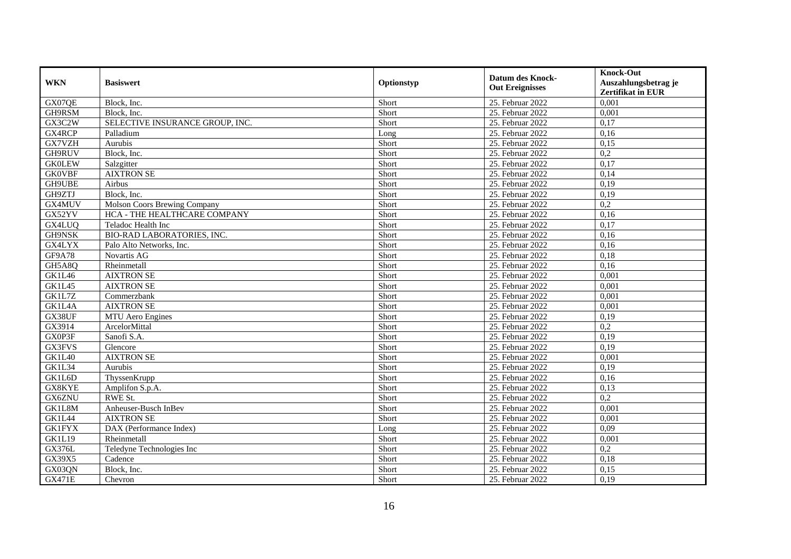| <b>WKN</b>    | <b>Basiswert</b>                  | Optionstyp | <b>Datum des Knock-</b><br><b>Out Ereignisses</b> | <b>Knock-Out</b><br>Auszahlungsbetrag je<br><b>Zertifikat in EUR</b> |
|---------------|-----------------------------------|------------|---------------------------------------------------|----------------------------------------------------------------------|
| GX07QE        | Block, Inc.                       | Short      | 25. Februar 2022                                  | 0,001                                                                |
| GH9RSM        | Block, Inc.                       | Short      | 25. Februar 2022                                  | 0,001                                                                |
| GX3C2W        | SELECTIVE INSURANCE GROUP, INC.   | Short      | 25. Februar 2022                                  | 0,17                                                                 |
| GX4RCP        | Palladium                         | Long       | 25. Februar 2022                                  | 0.16                                                                 |
| GX7VZH        | Aurubis                           | Short      | 25. Februar 2022                                  | 0,15                                                                 |
| GH9RUV        | Block, Inc.                       | Short      | 25. Februar 2022                                  | $\overline{0,2}$                                                     |
| <b>GK0LEW</b> | Salzgitter                        | Short      | 25. Februar 2022                                  | 0,17                                                                 |
| <b>GK0VBF</b> | <b>AIXTRON SE</b>                 | Short      | 25. Februar 2022                                  | 0,14                                                                 |
| GH9UBE        | Airbus                            | Short      | 25. Februar 2022                                  | 0,19                                                                 |
| GH9ZTJ        | Block, Inc.                       | Short      | 25. Februar 2022                                  | 0,19                                                                 |
| GX4MUV        | Molson Coors Brewing Company      | Short      | 25. Februar 2022                                  | 0,2                                                                  |
| GX52YV        | HCA - THE HEALTHCARE COMPANY      | Short      | 25. Februar 2022                                  | 0,16                                                                 |
| <b>GX4LUQ</b> | Teladoc Health Inc                | Short      | 25. Februar 2022                                  | 0,17                                                                 |
| GH9NSK        | <b>BIO-RAD LABORATORIES, INC.</b> | Short      | 25. Februar 2022                                  | 0,16                                                                 |
| GX4LYX        | Palo Alto Networks, Inc.          | Short      | 25. Februar 2022                                  | 0,16                                                                 |
| GF9A78        | Novartis AG                       | Short      | 25. Februar 2022                                  | 0,18                                                                 |
| GH5A8Q        | Rheinmetall                       | Short      | 25. Februar 2022                                  | 0,16                                                                 |
| GK1L46        | <b>AIXTRON SE</b>                 | Short      | 25. Februar 2022                                  | 0.001                                                                |
| GK1L45        | <b>AIXTRON SE</b>                 | Short      | 25. Februar 2022                                  | 0,001                                                                |
| GK1L7Z        | Commerzbank                       | Short      | 25. Februar 2022                                  | 0,001                                                                |
| GK1L4A        | <b>AIXTRON SE</b>                 | Short      | 25. Februar 2022                                  | 0,001                                                                |
| GX38UF        | MTU Aero Engines                  | Short      | 25. Februar 2022                                  | 0,19                                                                 |
| GX3914        | ArcelorMittal                     | Short      | 25. Februar 2022                                  | 0,2                                                                  |
| GX0P3F        | Sanofi S.A.                       | Short      | 25. Februar 2022                                  | 0,19                                                                 |
| GX3FVS        | Glencore                          | Short      | 25. Februar 2022                                  | 0,19                                                                 |
| <b>GK1L40</b> | <b>AIXTRON SE</b>                 | Short      | 25. Februar 2022                                  | 0.001                                                                |
| <b>GK1L34</b> | Aurubis                           | Short      | 25. Februar 2022                                  | 0,19                                                                 |
| GK1L6D        | ThyssenKrupp                      | Short      | 25. Februar 2022                                  | 0,16                                                                 |
| GX8KYE        | Amplifon S.p.A.                   | Short      | 25. Februar 2022                                  | 0,13                                                                 |
| GX6ZNU        | RWE St.                           | Short      | 25. Februar 2022                                  | 0,2                                                                  |
| GK1L8M        | Anheuser-Busch InBev              | Short      | 25. Februar 2022                                  | 0,001                                                                |
| GK1L44        | <b>AIXTRON SE</b>                 | Short      | 25. Februar 2022                                  | 0,001                                                                |
| <b>GK1FYX</b> | DAX (Performance Index)           | Long       | 25. Februar 2022                                  | 0.09                                                                 |
| <b>GK1L19</b> | Rheinmetall                       | Short      | 25. Februar 2022                                  | 0,001                                                                |
| <b>GX376L</b> | Teledyne Technologies Inc         | Short      | 25. Februar 2022                                  | $\overline{0,2}$                                                     |
| GX39X5        | Cadence                           | Short      | 25. Februar 2022                                  | 0,18                                                                 |
| GX03QN        | Block, Inc.                       | Short      | 25. Februar 2022                                  | 0,15                                                                 |
| <b>GX471E</b> | Chevron                           | Short      | 25. Februar 2022                                  | 0,19                                                                 |